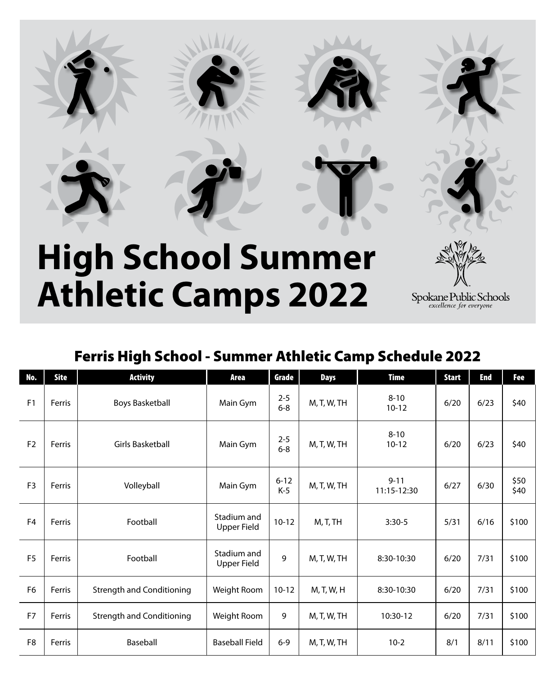

# **High School Summer Athletic Camps 2022**



Spokane Public Schools<br>excellence for everyone

## Ferris High School - Summer Athletic Camp Schedule 2022

| No.            | Site   | <b>Activity</b>                  | Area                       | Grade              | <b>Days</b> | <b>Time</b>             | <b>Start</b> | <b>End</b> | Fee          |
|----------------|--------|----------------------------------|----------------------------|--------------------|-------------|-------------------------|--------------|------------|--------------|
| F <sub>1</sub> | Ferris | <b>Boys Basketball</b>           | Main Gym                   | $2 - 5$<br>$6 - 8$ | M, T, W, TH | $8 - 10$<br>$10 - 12$   | 6/20         | 6/23       | \$40         |
| F <sub>2</sub> | Ferris | <b>Girls Basketball</b>          | Main Gym                   | $2 - 5$<br>$6 - 8$ | M, T, W, TH | $8 - 10$<br>$10 - 12$   | 6/20         | 6/23       | \$40         |
| F <sub>3</sub> | Ferris | Volleyball                       | Main Gym                   | $6 - 12$<br>$K-5$  | M, T, W, TH | $9 - 11$<br>11:15-12:30 | 6/27         | 6/30       | \$50<br>\$40 |
| F <sub>4</sub> | Ferris | Football                         | Stadium and<br>Upper Field | $10 - 12$          | M, T, TH    | $3:30-5$                | 5/31         | 6/16       | \$100        |
| F <sub>5</sub> | Ferris | Football                         | Stadium and<br>Upper Field | 9                  | M, T, W, TH | 8:30-10:30              | 6/20         | 7/31       | \$100        |
| F <sub>6</sub> | Ferris | <b>Strength and Conditioning</b> | Weight Room                | $10 - 12$          | M, T, W, H  | 8:30-10:30              | 6/20         | 7/31       | \$100        |
| F <sub>7</sub> | Ferris | <b>Strength and Conditioning</b> | Weight Room                | 9                  | M, T, W, TH | 10:30-12                | 6/20         | 7/31       | \$100        |
| F <sub>8</sub> | Ferris | Baseball                         | <b>Baseball Field</b>      | $6 - 9$            | M, T, W, TH | $10-2$                  | 8/1          | 8/11       | \$100        |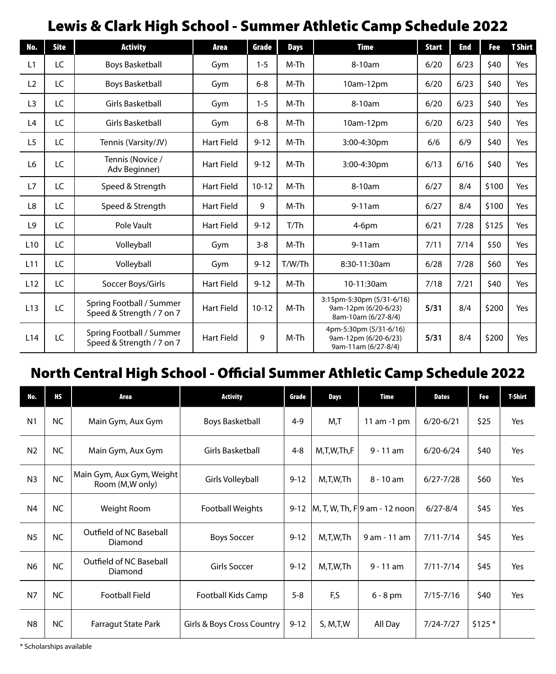# Lewis & Clark High School - Summer Athletic Camp Schedule 2022

| No.             | <b>Site</b> | <b>Activity</b>                                       | Area              | Grade     | <b>Days</b> | <b>Time</b>                                                              | <b>Start</b> | <b>End</b> | Fee   | <b>T</b> Shirt |
|-----------------|-------------|-------------------------------------------------------|-------------------|-----------|-------------|--------------------------------------------------------------------------|--------------|------------|-------|----------------|
| L1              | LC          | <b>Boys Basketball</b>                                | Gym               | $1 - 5$   | M-Th        | 8-10am                                                                   | 6/20         | 6/23       | \$40  | Yes            |
| L2              | LC          | <b>Boys Basketball</b>                                | Gym               | $6 - 8$   | M-Th        | 10am-12pm                                                                | 6/20         | 6/23       | \$40  | Yes            |
| L <sub>3</sub>  | LC          | Girls Basketball                                      | Gym               | $1 - 5$   | M-Th        | 8-10am                                                                   | 6/20         | 6/23       | \$40  | Yes            |
| L4              | LC          | Girls Basketball                                      | Gym               | $6 - 8$   | M-Th        | 10am-12pm                                                                | 6/20         | 6/23       | \$40  | Yes            |
| L <sub>5</sub>  | LC          | Tennis (Varsity/JV)                                   | <b>Hart Field</b> | $9 - 12$  | M-Th        | 3:00-4:30pm                                                              | 6/6          | 6/9        | \$40  | Yes            |
| L <sub>6</sub>  | LC          | Tennis (Novice /<br>Adv Beginner)                     | <b>Hart Field</b> | $9 - 12$  | M-Th        | 3:00-4:30pm                                                              | 6/13         | 6/16       | \$40  | Yes            |
| L7              | LC          | Speed & Strength                                      | <b>Hart Field</b> | $10 - 12$ | M-Th        | 8-10am                                                                   | 6/27         | 8/4        | \$100 | Yes            |
| L8              | LC          | Speed & Strength                                      | <b>Hart Field</b> | 9         | M-Th        | $9-11am$                                                                 | 6/27         | 8/4        | \$100 | Yes            |
| L <sub>9</sub>  | LC          | Pole Vault                                            | <b>Hart Field</b> | $9 - 12$  | T/Th        | $4-6$ pm                                                                 | 6/21         | 7/28       | \$125 | Yes            |
| L <sub>10</sub> | LC          | Volleyball                                            | Gym               | $3 - 8$   | M-Th        | $9-11am$                                                                 | 7/11         | 7/14       | \$50  | Yes            |
| L <sub>11</sub> | LC          | Volleyball                                            | Gym               | $9 - 12$  | T/W/Th      | 8:30-11:30am                                                             | 6/28         | 7/28       | \$60  | Yes            |
| L12             | LC          | Soccer Boys/Girls                                     | <b>Hart Field</b> | $9 - 12$  | M-Th        | 10-11:30am                                                               | 7/18         | 7/21       | \$40  | Yes            |
| L13             | LC          | Spring Football / Summer<br>Speed & Strength / 7 on 7 | <b>Hart Field</b> | $10 - 12$ | M-Th        | 3:15pm-5:30pm (5/31-6/16)<br>9am-12pm (6/20-6/23)<br>8am-10am (6/27-8/4) | 5/31         | 8/4        | \$200 | Yes            |
| L <sub>14</sub> | LC          | Spring Football / Summer<br>Speed & Strength / 7 on 7 | <b>Hart Field</b> | 9         | M-Th        | 4pm-5:30pm (5/31-6/16)<br>9am-12pm (6/20-6/23)<br>9am-11am (6/27-8/4)    | 5/31         | 8/4        | \$200 | Yes            |

## North Central High School - Official Summer Athletic Camp Schedule 2022

| No.            | НS        | Area                                         | <b>Activity</b>            | Grade    | Days       | <b>Time</b>                      | <b>Dates</b>  | Fee     | <b>T-Shirt</b> |
|----------------|-----------|----------------------------------------------|----------------------------|----------|------------|----------------------------------|---------------|---------|----------------|
| N <sub>1</sub> | <b>NC</b> | Main Gym, Aux Gym                            | Boys Basketball            | $4 - 9$  | M,T        | 11 am $-1$ pm                    | $6/20 - 6/21$ | \$25    | Yes            |
| N <sub>2</sub> | <b>NC</b> | Main Gym, Aux Gym                            | <b>Girls Basketball</b>    | $4 - 8$  | M,T,W,Th,F | $9 - 11$ am                      | $6/20 - 6/24$ | \$40    | Yes            |
| N <sub>3</sub> | <b>NC</b> | Main Gym, Aux Gym, Weight<br>Room (M,W only) | Girls Volleyball           | $9 - 12$ | M,T,W,Th   | $8 - 10$ am                      | $6/27 - 7/28$ | \$60    | Yes            |
| N4             | <b>NC</b> | Weight Room                                  | <b>Football Weights</b>    | $9 - 12$ |            | $[M, T, W, Th, F]9$ am - 12 noon | $6/27 - 8/4$  | \$45    | Yes            |
| N <sub>5</sub> | <b>NC</b> | Outfield of NC Baseball<br>Diamond           | <b>Boys Soccer</b>         | $9 - 12$ | M,T,W,Th   | 9 am - 11 am                     | $7/11 - 7/14$ | \$45    | Yes            |
| N <sub>6</sub> | <b>NC</b> | Outfield of NC Baseball<br>Diamond           | <b>Girls Soccer</b>        | $9 - 12$ | M,T,W,Th   | $9 - 11$ am                      | $7/11 - 7/14$ | \$45    | Yes            |
| N7             | <b>NC</b> | <b>Football Field</b>                        | <b>Football Kids Camp</b>  | $5 - 8$  | F,S        | $6 - 8$ pm                       | $7/15 - 7/16$ | \$40    | Yes            |
| N <sub>8</sub> | NC        | Farragut State Park                          | Girls & Boys Cross Country | $9 - 12$ | S, M,T,W   | All Day                          | $7/24 - 7/27$ | $$125*$ |                |

\* Scholarships available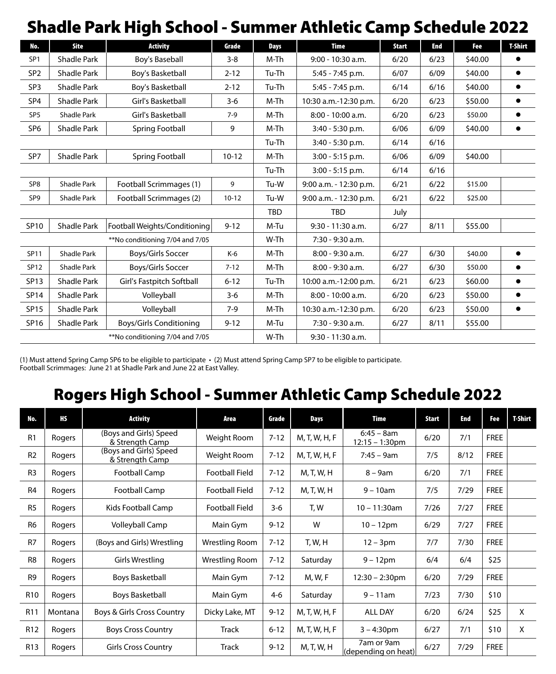# Shadle Park High School - Summer Athletic Camp Schedule 2022

| No.             | <b>Site</b>        | <b>Activity</b>                 | Grade     | <b>Days</b> | <b>Time</b>            | <b>Start</b> | End  | Fee     | <b>T-Shirt</b> |
|-----------------|--------------------|---------------------------------|-----------|-------------|------------------------|--------------|------|---------|----------------|
| SP <sub>1</sub> | <b>Shadle Park</b> | Boy's Baseball                  | $3 - 8$   | M-Th        | 9:00 - 10:30 a.m.      | 6/20         | 6/23 | \$40.00 |                |
| SP <sub>2</sub> | <b>Shadle Park</b> | Boy's Basketball                | $2 - 12$  | Tu-Th       | 5:45 - 7:45 p.m.       | 6/07         | 6/09 | \$40.00 | $\bullet$      |
| SP <sub>3</sub> | <b>Shadle Park</b> | Boy's Basketball                | $2 - 12$  | Tu-Th       | 5:45 - 7:45 p.m.       | 6/14         | 6/16 | \$40.00 | ٠              |
| SP <sub>4</sub> | <b>Shadle Park</b> | Girl's Basketball               | $3 - 6$   | M-Th        | 10:30 a.m.-12:30 p.m.  | 6/20         | 6/23 | \$50.00 | ٠              |
| SP <sub>5</sub> | <b>Shadle Park</b> | Girl's Basketball               | $7-9$     | M-Th        | 8:00 - 10:00 a.m.      | 6/20         | 6/23 | \$50.00 | $\bullet$      |
| SP <sub>6</sub> | <b>Shadle Park</b> | Spring Football                 | 9         | M-Th        | 3:40 - 5:30 p.m.       | 6/06         | 6/09 | \$40.00 | ٠              |
|                 |                    |                                 |           | Tu-Th       | 3:40 - 5:30 p.m.       | 6/14         | 6/16 |         |                |
| SP7             | <b>Shadle Park</b> | Spring Football                 | $10 - 12$ | M-Th        | 3:00 - 5:15 p.m.       | 6/06         | 6/09 | \$40.00 |                |
|                 |                    |                                 |           | Tu-Th       | 3:00 - 5:15 p.m.       | 6/14         | 6/16 |         |                |
| SP <sub>8</sub> | <b>Shadle Park</b> | Football Scrimmages (1)         | 9         | Tu-W        | 9:00 a.m. - 12:30 p.m. | 6/21         | 6/22 | \$15.00 |                |
| SP9             | Shadle Park        | Football Scrimmages (2)         | $10 - 12$ | Tu-W        | 9:00 a.m. - 12:30 p.m. | 6/21         | 6/22 | \$25.00 |                |
|                 |                    |                                 |           | <b>TBD</b>  | <b>TBD</b>             | July         |      |         |                |
| SP10            | <b>Shadle Park</b> | Football Weights/Conditioning   | $9 - 12$  | M-Tu        | 9:30 - 11:30 a.m.      | 6/27         | 8/11 | \$55.00 |                |
|                 |                    | **No conditioning 7/04 and 7/05 |           | W-Th        | $7:30 - 9:30$ a.m.     |              |      |         |                |
| SP11            | <b>Shadle Park</b> | Boys/Girls Soccer               | K-6       | M-Th        | 8:00 - 9:30 a.m.       | 6/27         | 6/30 | \$40.00 | ٠              |
| SP12            | <b>Shadle Park</b> | Boys/Girls Soccer               | $7 - 12$  | M-Th        | 8:00 - 9:30 a.m.       | 6/27         | 6/30 | \$50.00 | ٠              |
| <b>SP13</b>     | <b>Shadle Park</b> | Girl's Fastpitch Softball       | $6 - 12$  | Tu-Th       | 10:00 a.m.-12:00 p.m.  | 6/21         | 6/23 | \$60.00 | ٠              |
| <b>SP14</b>     | <b>Shadle Park</b> | Volleyball                      | $3 - 6$   | M-Th        | 8:00 - 10:00 a.m.      | 6/20         | 6/23 | \$50.00 | $\bullet$      |
| <b>SP15</b>     | <b>Shadle Park</b> | Volleyball                      | $7-9$     | M-Th        | 10:30 a.m.-12:30 p.m.  | 6/20         | 6/23 | \$50.00 | ٠              |
| SP16            | <b>Shadle Park</b> | <b>Boys/Girls Conditioning</b>  | $9 - 12$  | M-Tu        | 7:30 - 9:30 a.m.       | 6/27         | 8/11 | \$55.00 |                |
|                 |                    | **No conditioning 7/04 and 7/05 |           | W-Th        | 9:30 - 11:30 a.m.      |              |      |         |                |

(1) Must attend Spring Camp SP6 to be eligible to participate • (2) Must attend Spring Camp SP7 to be eligible to participate. Football Scrimmages: June 21 at Shadle Park and June 22 at East Valley.

# Rogers High School - Summer Athletic Camp Schedule 2022

| No.             | НS      | <b>Activity</b>                           | Area                  | Grade    | Days           | Time                              | Start | End  | Fee         | <b>T-Shirt</b> |
|-----------------|---------|-------------------------------------------|-----------------------|----------|----------------|-----------------------------------|-------|------|-------------|----------------|
| R1              | Rogers  | (Boys and Girls) Speed<br>& Strength Camp | Weight Room           | $7 - 12$ | M, T, W, H, F  | $6:45 - 8am$<br>$12:15 - 1:30$ pm | 6/20  | 7/1  | <b>FREE</b> |                |
| R <sub>2</sub>  | Rogers  | (Boys and Girls) Speed<br>& Strength Camp | Weight Room           | $7 - 12$ | M, T, W, H, F  | $7:45 - 9am$                      | 7/5   | 8/12 | <b>FREE</b> |                |
| R <sub>3</sub>  | Rogers  | <b>Football Camp</b>                      | <b>Football Field</b> | $7 - 12$ | M, T, W, H     | $8 - 9$ am                        | 6/20  | 7/1  | <b>FREE</b> |                |
| R <sub>4</sub>  | Rogers  | Football Camp                             | <b>Football Field</b> | $7 - 12$ | M, T, W, H     | $9 - 10$ am                       | 7/5   | 7/29 | <b>FREE</b> |                |
| R <sub>5</sub>  | Rogers  | Kids Football Camp                        | <b>Football Field</b> | $3-6$    | T, W           | $10 - 11:30$ am                   | 7/26  | 7/27 | <b>FREE</b> |                |
| R <sub>6</sub>  | Rogers  | <b>Volleyball Camp</b>                    | Main Gym              | $9 - 12$ | W              | $10 - 12$ pm                      | 6/29  | 7/27 | <b>FREE</b> |                |
| R <sub>7</sub>  | Rogers  | (Boys and Girls) Wrestling                | Wrestling Room        | $7 - 12$ | T, W, H        | $12 - 3pm$                        | 7/7   | 7/30 | <b>FREE</b> |                |
| R <sub>8</sub>  | Rogers  | Girls Wrestling                           | Wrestling Room        | $7 - 12$ | Saturday       | $9 - 12$ pm                       | 6/4   | 6/4  | \$25        |                |
| R <sub>9</sub>  | Rogers  | <b>Boys Basketball</b>                    | Main Gym              | $7 - 12$ | <b>M, W, F</b> | $12:30 - 2:30$ pm                 | 6/20  | 7/29 | <b>FREE</b> |                |
| R <sub>10</sub> | Rogers  | <b>Boys Basketball</b>                    | Main Gym              | $4 - 6$  | Saturday       | $9 - 11$ am                       | 7/23  | 7/30 | \$10        |                |
| R <sub>11</sub> | Montana | Boys & Girls Cross Country                | Dicky Lake, MT        | $9 - 12$ | M, T, W, H, F  | <b>ALL DAY</b>                    | 6/20  | 6/24 | \$25        | X              |
| R <sub>12</sub> | Rogers  | <b>Boys Cross Country</b>                 | Track                 | $6 - 12$ | M, T, W, H, F  | $3 - 4:30$ pm                     | 6/27  | 7/1  | \$10        | X              |
| R <sub>13</sub> | Rogers  | <b>Girls Cross Country</b>                | Track                 | $9 - 12$ | M, T, W, H     | 7am or 9am<br>(depending on heat) | 6/27  | 7/29 | <b>FREE</b> |                |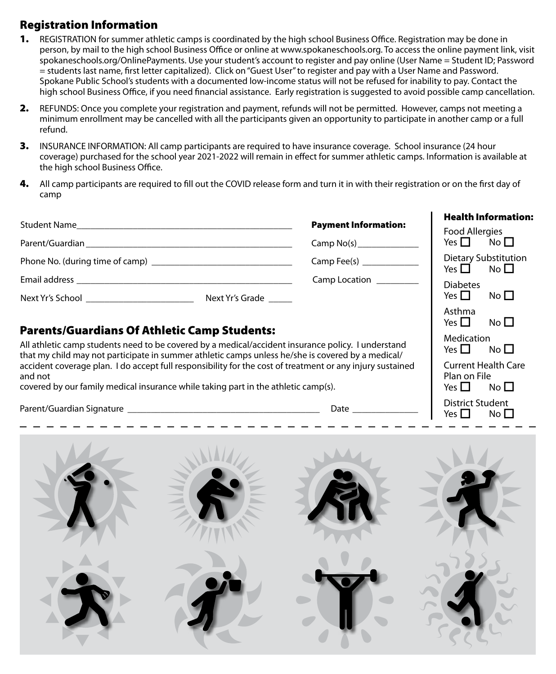## Registration Information

- 1. REGISTRATION for summer athletic camps is coordinated by the high school Business Office. Registration may be done in person, by mail to the high school Business Office or online at www.spokaneschools.org. To access the online payment link, visit spokaneschools.org/OnlinePayments. Use your student's account to register and pay online (User Name = Student ID; Password = students last name, first letter capitalized). Click on "Guest User" to register and pay with a User Name and Password. Spokane Public School's students with a documented low-income status will not be refused for inability to pay. Contact the high school Business Office, if you need financial assistance. Early registration is suggested to avoid possible camp cancellation.
- 2. REFUNDS: Once you complete your registration and payment, refunds will not be permitted. However, camps not meeting a minimum enrollment may be cancelled with all the participants given an opportunity to participate in another camp or a full refund.
- **3.** INSURANCE INFORMATION: All camp participants are required to have insurance coverage. School insurance (24 hour coverage) purchased for the school year 2021-2022 will remain in effect for summer athletic camps. Information is available at the high school Business Office.
- 4. All camp participants are required to fill out the COVID release form and turn it in with their registration or on the first day of camp

|                                                                                                                                                                                                                               |                 |                             | <b>Health Information:</b>                                   |  |  |
|-------------------------------------------------------------------------------------------------------------------------------------------------------------------------------------------------------------------------------|-----------------|-----------------------------|--------------------------------------------------------------|--|--|
|                                                                                                                                                                                                                               |                 | <b>Payment Information:</b> | Food Allergies                                               |  |  |
| Parent/Guardian Parent and The Parent and The Parent and The Parent and The Parent and The Parent and The Parent and The Parent and The Parent and The Parent and The Parent and The Parent and The Parent and The Parent and |                 | Camp No(s)                  | Yes $\Box$ No $\Box$                                         |  |  |
|                                                                                                                                                                                                                               |                 |                             | <b>Dietary Substitution</b><br>Yes $\square$<br>No $\square$ |  |  |
|                                                                                                                                                                                                                               |                 | Camp Location               | <b>Diabetes</b>                                              |  |  |
| Next Yr's School and the School and the School and the School                                                                                                                                                                 | Next Yr's Grade |                             | No $\square$<br>Yes $\Box$                                   |  |  |
| <b>Parents/Guardians Of Athletic Camp Students:</b>                                                                                                                                                                           |                 |                             | Asthma<br>No $\Box$<br>Yes $\Pi$                             |  |  |
|                                                                                                                                                                                                                               | Medication      |                             |                                                              |  |  |
| All athletic camp students need to be covered by a medical/accident insurance policy. I understand                                                                                                                            | No II<br>Yes II |                             |                                                              |  |  |

| All athletic camp students need to be covered by a medical/accident insurance policy. I understand<br>that my child may not participate in summer athletic camps unless he/she is covered by a medical/ | Medication<br>No $\Box$<br>Yes $\Pi$ |
|---------------------------------------------------------------------------------------------------------------------------------------------------------------------------------------------------------|--------------------------------------|
| accident coverage plan. I do accept full responsibility for the cost of treatment or any injury sustained                                                                                               | <b>Current Health Care</b>           |
| and not                                                                                                                                                                                                 | Plan on File                         |
| covered by our family medical insurance while taking part in the athletic camp(s).                                                                                                                      | No $\Box$<br>Yes I                   |

Parent/Guardian Signature \_\_\_\_\_\_\_\_\_\_\_\_\_\_\_\_\_\_\_\_\_\_\_\_\_\_\_\_\_\_\_\_\_\_\_\_\_\_\_\_\_ Date \_\_\_\_\_\_\_\_\_\_\_\_\_\_

District Student Yes  $\Box$  No  $\Box$